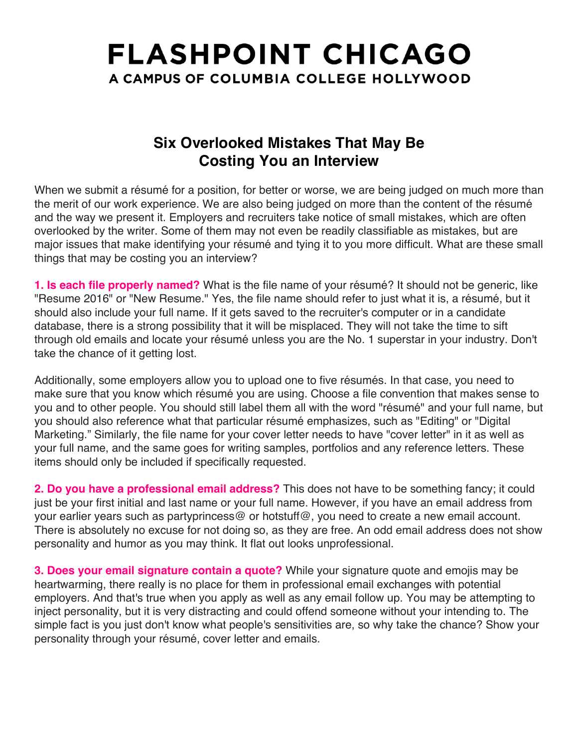## **FLASHPOINT CHICAGO** A CAMPUS OF COLUMBIA COLLEGE HOLLYWOOD

## **Six Overlooked Mistakes That May Be Costing You an Interview**

When we submit a résumé for a position, for better or worse, we are being judged on much more than the merit of our work experience. We are also being judged on more than the content of the résumé and the way we present it. Employers and recruiters take notice of small mistakes, which are often overlooked by the writer. Some of them may not even be readily classifiable as mistakes, but are major issues that make identifying your résumé and tying it to you more difficult. What are these small things that may be costing you an interview?

**1. Is each file properly named?** What is the file name of your résumé? It should not be generic, like "Resume 2016" or "New Resume." Yes, the file name should refer to just what it is, a résumé, but it should also include your full name. If it gets saved to the recruiter's computer or in a candidate database, there is a strong possibility that it will be misplaced. They will not take the time to sift through old emails and locate your résumé unless you are the No. 1 superstar in your industry. Don't take the chance of it getting lost.

Additionally, some employers allow you to upload one to five résumés. In that case, you need to make sure that you know which résumé you are using. Choose a file convention that makes sense to you and to other people. You should still label them all with the word "résumé" and your full name, but you should also reference what that particular résumé emphasizes, such as "Editing" or "Digital Marketing." Similarly, the file name for your cover letter needs to have "cover letter" in it as well as your full name, and the same goes for writing samples, portfolios and any reference letters. These items should only be included if specifically requested.

**2. Do you have a professional email address?** This does not have to be something fancy; it could just be your first initial and last name or your full name. However, if you have an email address from your earlier years such as partyprincess@ or hotstuff@, you need to create a new email account. There is absolutely no excuse for not doing so, as they are free. An odd email address does not show personality and humor as you may think. It flat out looks unprofessional.

**3. Does your email signature contain a quote?** While your signature quote and emojis may be heartwarming, there really is no place for them in professional email exchanges with potential employers. And that's true when you apply as well as any email follow up. You may be attempting to inject personality, but it is very distracting and could offend someone without your intending to. The simple fact is you just don't know what people's sensitivities are, so why take the chance? Show your personality through your résumé, cover letter and emails.